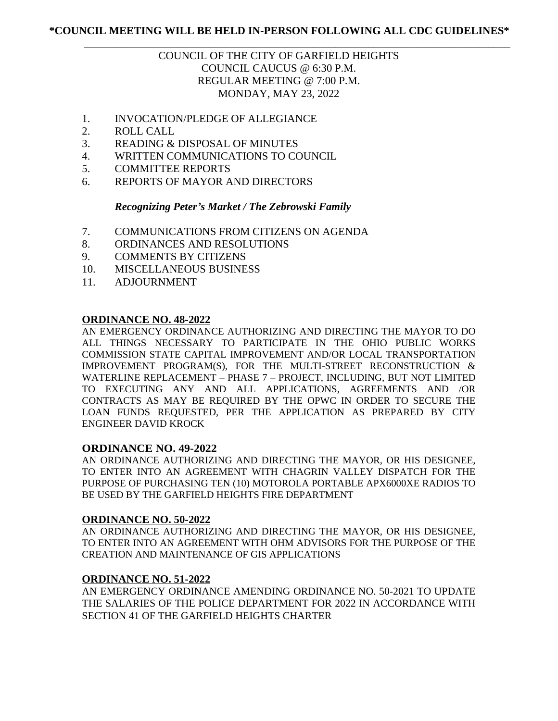# **\*COUNCIL MEETING WILL BE HELD IN-PERSON FOLLOWING ALL CDC GUIDELINES\***

# \_\_\_\_\_\_\_\_\_\_\_\_\_\_\_\_\_\_\_\_\_\_\_\_\_\_\_\_\_\_\_\_\_\_\_\_\_\_\_\_\_\_\_\_\_\_\_\_\_\_\_\_\_\_\_\_\_\_\_\_\_\_\_\_\_\_\_\_\_\_\_\_\_\_\_\_\_\_ COUNCIL OF THE CITY OF GARFIELD HEIGHTS COUNCIL CAUCUS @ 6:30 P.M. REGULAR MEETING @ 7:00 P.M. MONDAY, MAY 23, 2022

- 1. INVOCATION/PLEDGE OF ALLEGIANCE
- 2. ROLL CALL
- 3. READING & DISPOSAL OF MINUTES
- 4. WRITTEN COMMUNICATIONS TO COUNCIL
- 5. COMMITTEE REPORTS
- 6. REPORTS OF MAYOR AND DIRECTORS

## *Recognizing Peter's Market / The Zebrowski Family*

- 7. COMMUNICATIONS FROM CITIZENS ON AGENDA
- 8. ORDINANCES AND RESOLUTIONS
- 9. COMMENTS BY CITIZENS
- 10. MISCELLANEOUS BUSINESS
- 11. ADJOURNMENT

## **ORDINANCE NO. 48-2022**

AN EMERGENCY ORDINANCE AUTHORIZING AND DIRECTING THE MAYOR TO DO ALL THINGS NECESSARY TO PARTICIPATE IN THE OHIO PUBLIC WORKS COMMISSION STATE CAPITAL IMPROVEMENT AND/OR LOCAL TRANSPORTATION IMPROVEMENT PROGRAM(S), FOR THE MULTI-STREET RECONSTRUCTION & WATERLINE REPLACEMENT – PHASE 7 – PROJECT, INCLUDING, BUT NOT LIMITED TO EXECUTING ANY AND ALL APPLICATIONS, AGREEMENTS AND /OR CONTRACTS AS MAY BE REQUIRED BY THE OPWC IN ORDER TO SECURE THE LOAN FUNDS REQUESTED, PER THE APPLICATION AS PREPARED BY CITY ENGINEER DAVID KROCK

## **ORDINANCE NO. 49-2022**

AN ORDINANCE AUTHORIZING AND DIRECTING THE MAYOR, OR HIS DESIGNEE, TO ENTER INTO AN AGREEMENT WITH CHAGRIN VALLEY DISPATCH FOR THE PURPOSE OF PURCHASING TEN (10) MOTOROLA PORTABLE APX6000XE RADIOS TO BE USED BY THE GARFIELD HEIGHTS FIRE DEPARTMENT

## **ORDINANCE NO. 50-2022**

AN ORDINANCE AUTHORIZING AND DIRECTING THE MAYOR, OR HIS DESIGNEE, TO ENTER INTO AN AGREEMENT WITH OHM ADVISORS FOR THE PURPOSE OF THE CREATION AND MAINTENANCE OF GIS APPLICATIONS

## **ORDINANCE NO. 51-2022**

AN EMERGENCY ORDINANCE AMENDING ORDINANCE NO. 50-2021 TO UPDATE THE SALARIES OF THE POLICE DEPARTMENT FOR 2022 IN ACCORDANCE WITH SECTION 41 OF THE GARFIELD HEIGHTS CHARTER